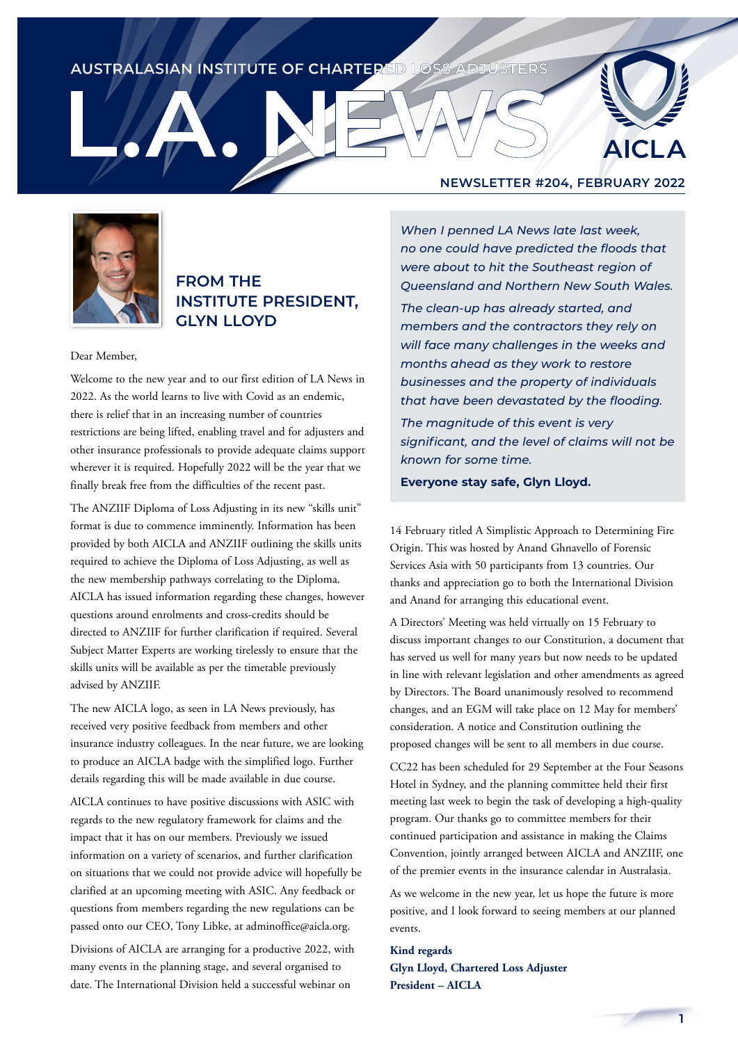## AUSTRALASIAN INSTITUTE OF CHARTERED LOSS ADJUSTERS

# **AICLA**



### **FROM THE INSTITUTE PRESIDENT, GLYN LLOYD**

#### Dear Member,

Welcome to the new year and to our first edition of LA News in 2022. As the world learns to live with Covid as an endemic, there is relief that in an increasing number of countries restrictions are being lifted, enabling travel and for adjusters and other insurance professionals to provide adequate claims support wherever it is required. Hopefully 2022 will be the year that we finally break free from the difficulties of the recent past.

The ANZIIF Diploma of Loss Adjusting in its new "skills unit" format is due to commence imminently. Information has been provided by both AICLA and ANZIIF outlining the skills units required to achieve the Diploma of Loss Adjusting, as well as the new membership pathways correlating to the Diploma. AICLA has issued information regarding these changes, however questions around enrolments and cross-credits should be directed to ANZIIF for further clarification if required. Several Subject Matter Experts are working tirelessly to ensure that the skills units will be available as per the timetable previously advised by ANZIIF.

The new AICLA logo, as seen in LA News previously, has received very positive feedback from members and other insurance industry colleagues. In the near future, we are looking to produce an AICLA badge with the simplified logo. Further details regarding this will be made available in due course.

AICLA continues to have positive discussions with ASIC with regards to the new regulatory framework for claims and the impact that it has on our members. Previously we issued information on a variety of scenarios, and further clarification on situations that we could not provide advice will hopefully be clarified at an upcoming meeting with ASIC. Any feedback or questions from members regarding the new regulations can be passed onto our CEO, Tony Libke, at adminoffice@aicla.org.

Divisions of AICLA are arranging for a productive 2022, with many events in the planning stage, and several organised to date. The International Division held a successful webinar on

### **NEWSLETTER #204, FEBRUARY 2022**

*When I penned LA News late last week, no one could have predicted the floods that were about to hit the Southeast region of Queensland and Northern New South Wales.*

*The clean-up has already started, and members and the contractors they rely on will face many challenges in the weeks and months ahead as they work to restore businesses and the property of individuals that have been devastated by the flooding.*

*The magnitude of this event is very significant, and the level of claims will not be known for some time.* 

**Everyone stay safe, Glyn Lloyd.**

14 February titled A Simplistic Approach to Determining Fire Origin. This was hosted by Anand Ghnavello of Forensic Services Asia with 50 participants from 13 countries. Our thanks and appreciation go to both the International Division and Anand for arranging this educational event.

A Directors' Meeting was held virtually on 15 February to discuss important changes to our Constitution, a document that has served us well for many years but now needs to be updated in line with relevant legislation and other amendments as agreed by Directors. The Board unanimously resolved to recommend changes, and an EGM will take place on 12 May for members' consideration. A notice and Constitution outlining the proposed changes will be sent to all members in due course.

CC22 has been scheduled for 29 September at the Four Seasons Hotel in Sydney, and the planning committee held their first meeting last week to begin the task of developing a high-quality program. Our thanks go to committee members for their continued participation and assistance in making the Claims Convention, jointly arranged between AICLA and ANZIIF, one of the premier events in the insurance calendar in Australasia.

As we welcome in the new year, let us hope the future is more positive, and I look forward to seeing members at our planned events.

### **Kind regards Glyn Lloyd, Chartered Loss Adjuster President – AICLA**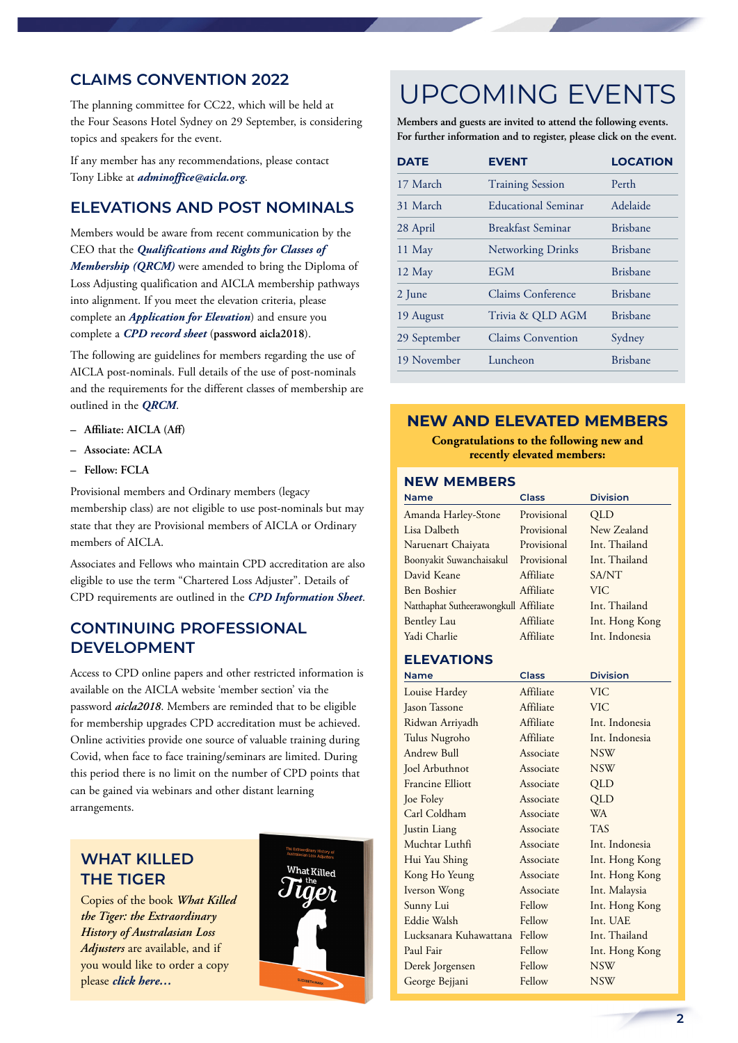### **CLAIMS CONVENTION 2022**

The planning committee for CC22, which will be held at the Four Seasons Hotel Sydney on 29 September, is considering topics and speakers for the event.

If any member has any recommendations, please contact Tony Libke at *[adminoffice@aicla.org](mailto:adminoffice@aicla.org)*.

### **ELEVATIONS AND POST NOMINALS**

Members would be aware from recent communication by the CEO that the *[Qualifications and Rights for Classes of](https://aicla.org/wp-content/uploads/Qualifications-and-Rights-1.pdf)  [Membership \(QRCM\)](https://aicla.org/wp-content/uploads/Qualifications-and-Rights-1.pdf)* were amended to bring the Diploma of Loss Adjusting qualification and AICLA membership pathways into alignment. If you meet the elevation criteria, please complete an *[Application for Elevation](https://aicla.org/elevation-application-form-2/)*) and ensure you complete a *[CPD record sheet](https://aicla.org/continuing-professional-development/)* (**password aicla2018**).

The following are guidelines for members regarding the use of AICLA post-nominals. Full details of the use of post-nominals and the requirements for the different classes of membership are outlined in the *[QRCM](https://aicla.org/wp-content/uploads/Qualifications-and-Rights-1.pdf)*.

- **– Affiliate: AICLA (Aff)**
- **– Associate: ACLA**
- **– Fellow: FCLA**

Provisional members and Ordinary members (legacy membership class) are not eligible to use post-nominals but may state that they are Provisional members of AICLA or Ordinary members of AICLA.

Associates and Fellows who maintain CPD accreditation are also eligible to use the term "Chartered Loss Adjuster". Details of CPD requirements are outlined in the *[CPD Information Sheet](https://aicla.org/wp-content/uploads/CPD_Form.pdf)*.

### **CONTINUING PROFESSIONAL DEVELOPMENT**

Access to CPD online papers and other restricted information is available on the AICLA website 'member section' via the password *aicla2018*. Members are reminded that to be eligible for membership upgrades CPD accreditation must be achieved. Online activities provide one source of valuable training during Covid, when face to face training/seminars are limited. During this period there is no limit on the number of CPD points that can be gained via webinars and other distant learning arrangements.

# **WHAT KILLED THE TIGER**

Copies of the book *What Killed the Tiger: the Extraordinary History of Australasian Loss Adjusters* are available, and if you would like to order a copy please *[click here…](https://aicla.org/product/what-killed-the-tiger/)*



# UPCOMING EVENTS

**Members and guests are invited to attend the following events. For further information and to register, please click on the event.**

| <b>DATE</b>  | <b>EVENT</b>               | <b>LOCATION</b> |
|--------------|----------------------------|-----------------|
| 17 March     | <b>Training Session</b>    | Perth           |
| 31 March     | <b>Educational Seminar</b> | Adelaide        |
| 28 April     | <b>Breakfast Seminar</b>   | <b>Brisbane</b> |
| 11 May       | <b>Networking Drinks</b>   | <b>Brishane</b> |
| 12 May       | <b>EGM</b>                 | <b>Brisbane</b> |
| 2 June       | Claims Conference          | Brishane        |
| 19 August    | Trivia & QLD AGM           | <b>Brisbane</b> |
| 29 September | <b>Claims Convention</b>   | Sydney          |
| 19 November  | Luncheon                   | <b>Brisbane</b> |
|              |                            |                 |

### **NEW AND ELEVATED MEMBERS**

**Congratulations to the following new and recently elevated members:**

#### **NEW MEMBERS**

| <b>Name</b>                           | Class       | <b>Division</b> |
|---------------------------------------|-------------|-----------------|
| Amanda Harley-Stone                   | Provisional | <b>OLD</b>      |
| Lisa Dalbeth                          | Provisional | New Zealand     |
| Naruenart Chaiyata                    | Provisional | Int. Thailand   |
| Boonyakit Suwanchaisakul              | Provisional | Int. Thailand   |
| David Keane                           | Affiliate   | SA/NT           |
| Ben Boshier                           | Affiliate   | VIC.            |
| Natthaphat Sutheerawongkull Affiliate |             | Int. Thailand   |
| <b>Bentley Lau</b>                    | Affiliate   | Int. Hong Kong  |
| Yadi Charlie                          | Affiliate   | Int. Indonesia  |

### **ELEVATIONS**

| <b>Name</b>             | Class            | <b>Division</b>  |
|-------------------------|------------------|------------------|
| Louise Hardey           | Affiliate        | <b>VIC</b>       |
| <b>Jason Tassone</b>    | Affiliate        | <b>VIC</b>       |
| Ridwan Arriyadh         | Affiliate        | Int. Indonesia   |
| Tulus Nugroho           | Affiliate        | Int. Indonesia   |
| Andrew Bull             | Associate        | NSW <sup>.</sup> |
| Joel Arbuthnot          | <b>Associate</b> | <b>NSW</b>       |
| <b>Francine Elliott</b> | Associate        | QLD              |
| Joe Foley               | Associate        | QLD              |
| Carl Coldham            | Associate        | <b>WA</b>        |
| Justin Liang            | Associate        | <b>TAS</b>       |
| Muchtar Luthfi          | Associate        | Int. Indonesia   |
| Hui Yau Shing           | Associate        | Int. Hong Kong   |
| Kong Ho Yeung           | Associate        | Int. Hong Kong   |
| Iverson Wong            | Associate        | Int. Malaysia    |
| Sunny Lui               | Fellow           | Int. Hong Kong   |
| Eddie Walsh             | Fellow           | Int. UAE         |
| Lucksanara Kuhawattana  | Fellow           | Int. Thailand    |
| Paul Fair               | Fellow           | Int. Hong Kong   |
| Derek Jorgensen         | Fellow           | <b>NSW</b>       |
| George Bejjani          | Fellow           | <b>NSW</b>       |